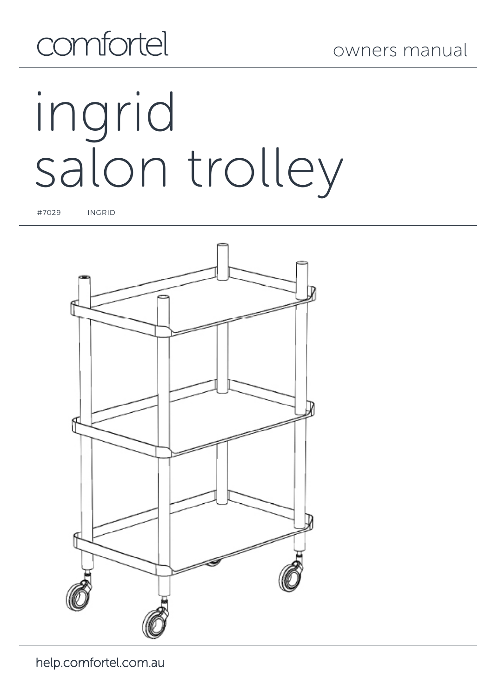# comfortel

# ingrid salon trolley

#7029 INGRID

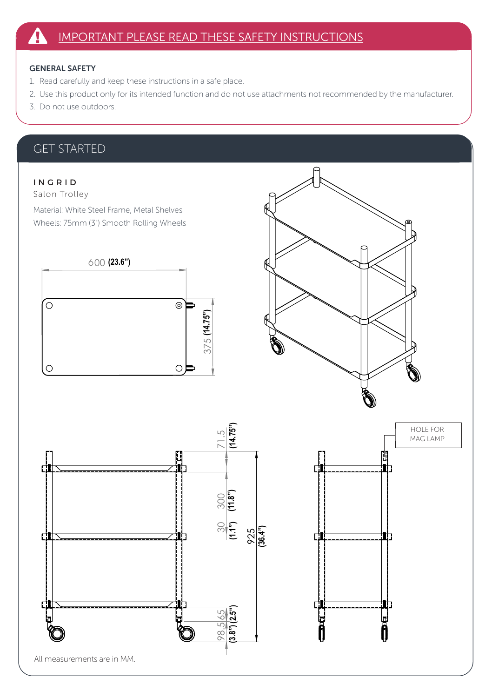#### GENERAL SAFETY

- 1. Read carefully and keep these instructions in a safe place.
- 2. Use this product only for its intended function and do not use attachments not recommended by the manufacturer.
- 3. Do not use outdoors.

#### GET STARTED

#### INGRID

Salon Trolley

Material: White Steel Frame, Metal Shelves Wheels: 75mm (3") Smooth Rolling Wheels







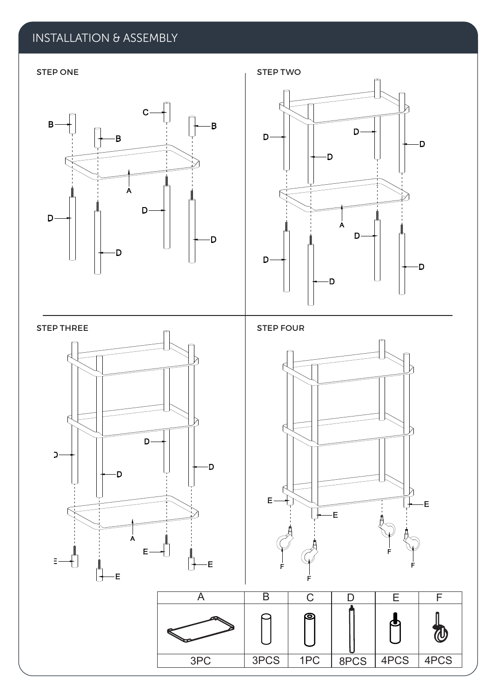### INSTALLATION & ASSEMBLY